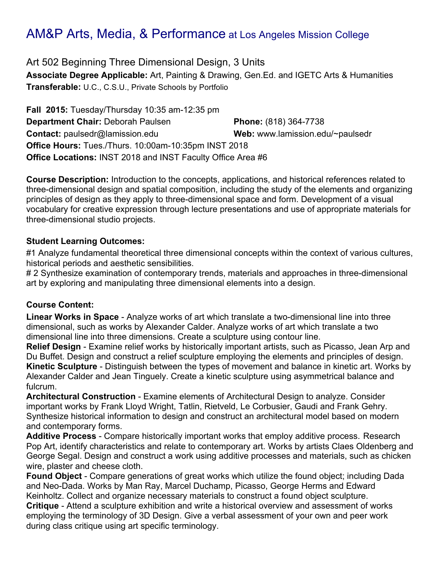Art 502 Beginning Three Dimensional Design, 3 Units **Associate Degree Applicable:** Art, Painting & Drawing, Gen.Ed. and IGETC Arts & Humanities **Transferable:** U.C., C.S.U., Private Schools by Portfolio

**Fall 2015:** Tuesday/Thursday 10:35 am-12:35 pm **Department Chair:** Deborah Paulsen **Phone:** (818) 364-7738 **Contact:** paulsedr@lamission.edu **Web:** www.lamission.edu/~paulsedr **Office Hours:** Tues./Thurs. 10:00am-10:35pm INST 2018 **Office Locations:** INST 2018 and INST Faculty Office Area #6

**Course Description:** Introduction to the concepts, applications, and historical references related to three-dimensional design and spatial composition, including the study of the elements and organizing principles of design as they apply to three-dimensional space and form. Development of a visual vocabulary for creative expression through lecture presentations and use of appropriate materials for three-dimensional studio projects.

#### **Student Learning Outcomes:**

#1 Analyze fundamental theoretical three dimensional concepts within the context of various cultures, historical periods and aesthetic sensibilities.

# 2 Synthesize examination of contemporary trends, materials and approaches in three-dimensional art by exploring and manipulating three dimensional elements into a design.

#### **Course Content:**

**Linear Works in Space** - Analyze works of art which translate a two-dimensional line into three dimensional, such as works by Alexander Calder. Analyze works of art which translate a two dimensional line into three dimensions. Create a sculpture using contour line.

**Relief Design** - Examine relief works by historically important artists, such as Picasso, Jean Arp and Du Buffet. Design and construct a relief sculpture employing the elements and principles of design. **Kinetic Sculpture** - Distinguish between the types of movement and balance in kinetic art. Works by Alexander Calder and Jean Tinguely. Create a kinetic sculpture using asymmetrical balance and fulcrum.

**Architectural Construction** - Examine elements of Architectural Design to analyze. Consider important works by Frank Lloyd Wright, Tatlin, Rietveld, Le Corbusier, Gaudi and Frank Gehry. Synthesize historical information to design and construct an architectural model based on modern and contemporary forms.

**Additive Process** - Compare historically important works that employ additive process. Research Pop Art, identify characteristics and relate to contemporary art. Works by artists Claes Oldenberg and George Segal. Design and construct a work using additive processes and materials, such as chicken wire, plaster and cheese cloth.

**Found Object** - Compare generations of great works which utilize the found object; including Dada and Neo-Dada. Works by Man Ray, Marcel Duchamp, Picasso, George Herms and Edward Keinholtz. Collect and organize necessary materials to construct a found object sculpture. **Critique** - Attend a sculpture exhibition and write a historical overview and assessment of works employing the terminology of 3D Design. Give a verbal assessment of your own and peer work during class critique using art specific terminology.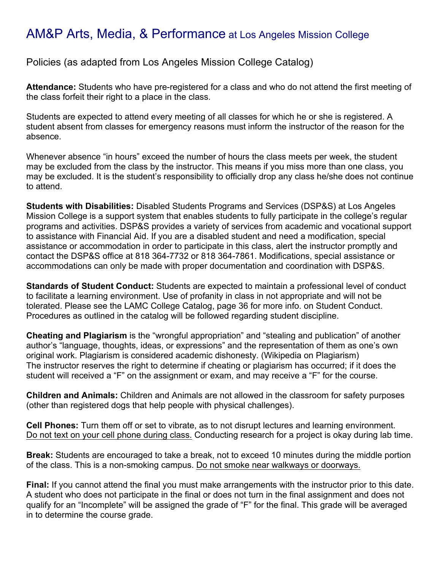Policies (as adapted from Los Angeles Mission College Catalog)

**Attendance:** Students who have pre-registered for a class and who do not attend the first meeting of the class forfeit their right to a place in the class.

Students are expected to attend every meeting of all classes for which he or she is registered. A student absent from classes for emergency reasons must inform the instructor of the reason for the absence.

Whenever absence "in hours" exceed the number of hours the class meets per week, the student may be excluded from the class by the instructor. This means if you miss more than one class, you may be excluded. It is the student's responsibility to officially drop any class he/she does not continue to attend.

**Students with Disabilities:** Disabled Students Programs and Services (DSP&S) at Los Angeles Mission College is a support system that enables students to fully participate in the college's regular programs and activities. DSP&S provides a variety of services from academic and vocational support to assistance with Financial Aid. If you are a disabled student and need a modification, special assistance or accommodation in order to participate in this class, alert the instructor promptly and contact the DSP&S office at 818 364-7732 or 818 364-7861. Modifications, special assistance or accommodations can only be made with proper documentation and coordination with DSP&S.

**Standards of Student Conduct:** Students are expected to maintain a professional level of conduct to facilitate a learning environment. Use of profanity in class in not appropriate and will not be tolerated. Please see the LAMC College Catalog, page 36 for more info. on Student Conduct. Procedures as outlined in the catalog will be followed regarding student discipline.

**Cheating and Plagiarism** is the "wrongful appropriation" and "stealing and publication" of another author's "language, thoughts, ideas, or expressions" and the representation of them as one's own original work. Plagiarism is considered academic dishonesty. (Wikipedia on Plagiarism) The instructor reserves the right to determine if cheating or plagiarism has occurred; if it does the student will received a "F" on the assignment or exam, and may receive a "F" for the course.

**Children and Animals:** Children and Animals are not allowed in the classroom for safety purposes (other than registered dogs that help people with physical challenges).

**Cell Phones:** Turn them off or set to vibrate, as to not disrupt lectures and learning environment. Do not text on your cell phone during class. Conducting research for a project is okay during lab time.

**Break:** Students are encouraged to take a break, not to exceed 10 minutes during the middle portion of the class. This is a non-smoking campus. Do not smoke near walkways or doorways.

**Final:** If you cannot attend the final you must make arrangements with the instructor prior to this date. A student who does not participate in the final or does not turn in the final assignment and does not qualify for an "Incomplete" will be assigned the grade of "F" for the final. This grade will be averaged in to determine the course grade.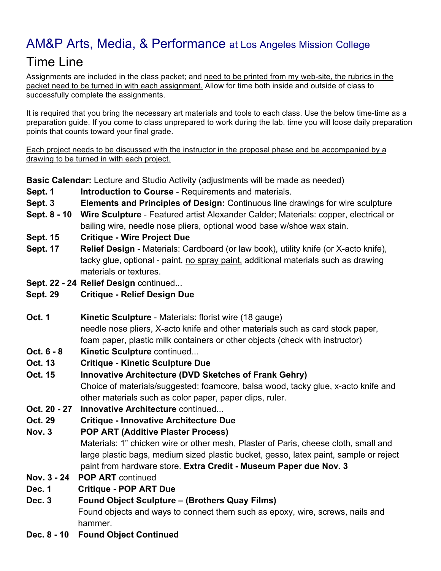# Time Line

Assignments are included in the class packet; and need to be printed from my web-site, the rubrics in the packet need to be turned in with each assignment. Allow for time both inside and outside of class to successfully complete the assignments.

It is required that you bring the necessary art materials and tools to each class. Use the below time-time as a preparation guide. If you come to class unprepared to work during the lab. time you will loose daily preparation points that counts toward your final grade.

Each project needs to be discussed with the instructor in the proposal phase and be accompanied by a drawing to be turned in with each project.

**Basic Calendar:** Lecture and Studio Activity (adjustments will be made as needed)

- **Sept. 1 Introduction to Course** Requirements and materials.
- **Sept. 3 Elements and Principles of Design:** Continuous line drawings for wire sculpture
- **Sept. 8 - 10 Wire Sculpture** Featured artist Alexander Calder; Materials: copper, electrical or bailing wire, needle nose pliers, optional wood base w/shoe wax stain.
- **Sept. 15 Critique - Wire Project Due**
- **Sept. 17 Relief Design** Materials: Cardboard (or law book), utility knife (or X-acto knife), tacky glue, optional - paint, no spray paint, additional materials such as drawing materials or textures.
- **Sept. 22 - 24 Relief Design** continued...
- **Sept. 29 Critique - Relief Design Due**
- **Oct. 1 Kinetic Sculpture** Materials: florist wire (18 gauge) needle nose pliers, X-acto knife and other materials such as card stock paper, foam paper, plastic milk containers or other objects (check with instructor)
- **Oct. 6 - 8 Kinetic Sculpture** continued...
- **Oct. 13 Critique - Kinetic Sculpture Due**
- **Oct. 15 Innovative Architecture (DVD Sketches of Frank Gehry)**  Choice of materials/suggested: foamcore, balsa wood, tacky glue, x-acto knife and other materials such as color paper, paper clips, ruler.
- **Oct. 20 - 27 Innovative Architecture** continued...
- **Oct. 29 Critique - Innovative Architecture Due**
- **Nov. 3 POP ART (Additive Plaster Process)** Materials: 1" chicken wire or other mesh, Plaster of Paris, cheese cloth, small and large plastic bags, medium sized plastic bucket, gesso, latex paint, sample or reject paint from hardware store. **Extra Credit - Museum Paper due Nov. 3**
- **Nov. 3 - 24 POP ART** continued
- **Dec. 1 Critique - POP ART Due**
- **Dec. 3 Found Object Sculpture – (Brothers Quay Films)**

Found objects and ways to connect them such as epoxy, wire, screws, nails and hammer.

**Dec. 8 - 10 Found Object Continued**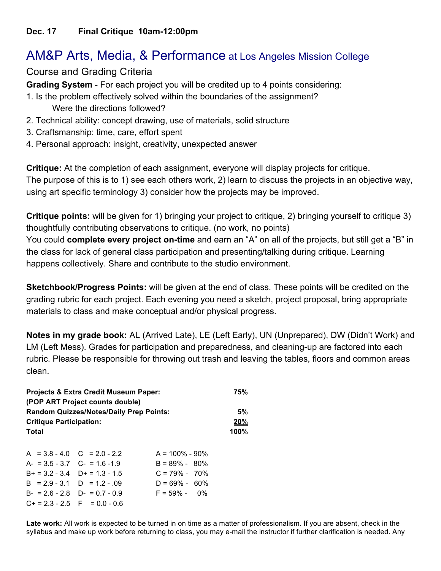#### Course and Grading Criteria

**Grading System** - For each project you will be credited up to 4 points considering:

- 1. Is the problem effectively solved within the boundaries of the assignment? Were the directions followed?
- 2. Technical ability: concept drawing, use of materials, solid structure
- 3. Craftsmanship: time, care, effort spent
- 4. Personal approach: insight, creativity, unexpected answer

**Critique:** At the completion of each assignment, everyone will display projects for critique. The purpose of this is to 1) see each others work, 2) learn to discuss the projects in an objective way, using art specific terminology 3) consider how the projects may be improved.

**Critique points:** will be given for 1) bringing your project to critique, 2) bringing yourself to critique 3) thoughtfully contributing observations to critique. (no work, no points) You could **complete every project on-time** and earn an "A" on all of the projects, but still get a "B" in the class for lack of general class participation and presenting/talking during critique. Learning happens collectively. Share and contribute to the studio environment.

**Sketchbook/Progress Points:** will be given at the end of class. These points will be credited on the grading rubric for each project. Each evening you need a sketch, project proposal, bring appropriate materials to class and make conceptual and/or physical progress.

**Notes in my grade book:** AL (Arrived Late), LE (Left Early), UN (Unprepared), DW (Didn't Work) and LM (Left Mess). Grades for participation and preparedness, and cleaning-up are factored into each rubric. Please be responsible for throwing out trash and leaving the tables, floors and common areas clean.

| <b>Projects &amp; Extra Credit Museum Paper:</b><br>(POP ART Project counts double) |  |                    |         |  |
|-------------------------------------------------------------------------------------|--|--------------------|---------|--|
| <b>Random Quizzes/Notes/Daily Prep Points:</b>                                      |  |                    |         |  |
| <b>Critique Participation:</b>                                                      |  |                    |         |  |
| Total                                                                               |  |                    | $100\%$ |  |
|                                                                                     |  |                    |         |  |
| $A = 3.8 - 4.0$ $C = 2.0 - 2.2$                                                     |  | $A = 100\% - 90\%$ |         |  |
| $A- = 3.5 - 3.7$ $C- = 1.6 - 1.9$                                                   |  | $B = 89\% - 80\%$  |         |  |
| $B+ = 3.2 - 3.4$ $D+ = 1.3 - 1.5$                                                   |  | $C = 79\% - 70\%$  |         |  |
| $B = 2.9 - 3.1$ $D = 1.2 - .09$                                                     |  | $D = 69\% - 60\%$  |         |  |

 $B- = 2.6 - 2.8$   $D- = 0.7 - 0.9$   $F = 59\% - 0\%$ 

 $C+= 2.3 - 2.5$  F = 0.0 - 0.6

**Late work:** All work is expected to be turned in on time as a matter of professionalism. If you are absent, check in the syllabus and make up work before returning to class, you may e-mail the instructor if further clarification is needed. Any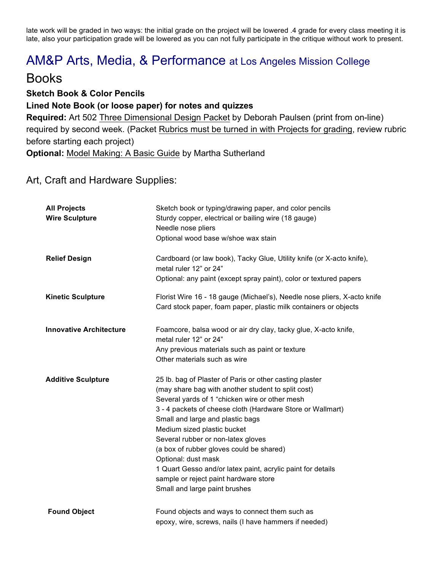late work will be graded in two ways: the initial grade on the project will be lowered .4 grade for every class meeting it is late, also your participation grade will be lowered as you can not fully participate in the critique without work to present.

### AM&P Arts, Media, & Performance at Los Angeles Mission College

### Books

**Sketch Book & Color Pencils Lined Note Book (or loose paper) for notes and quizzes Required:** Art 502 Three Dimensional Design Packet by Deborah Paulsen (print from on-line) required by second week. (Packet Rubrics must be turned in with Projects for grading, review rubric before starting each project) **Optional:** Model Making: A Basic Guide by Martha Sutherland

#### Art, Craft and Hardware Supplies:

| <b>All Projects</b><br><b>Wire Sculpture</b> | Sketch book or typing/drawing paper, and color pencils<br>Sturdy copper, electrical or bailing wire (18 gauge)<br>Needle nose pliers<br>Optional wood base w/shoe wax stain                                                                                                                                                                                                                                                                                                                                                                        |
|----------------------------------------------|----------------------------------------------------------------------------------------------------------------------------------------------------------------------------------------------------------------------------------------------------------------------------------------------------------------------------------------------------------------------------------------------------------------------------------------------------------------------------------------------------------------------------------------------------|
| <b>Relief Design</b>                         | Cardboard (or law book), Tacky Glue, Utility knife (or X-acto knife),<br>metal ruler 12" or 24"<br>Optional: any paint (except spray paint), color or textured papers                                                                                                                                                                                                                                                                                                                                                                              |
| <b>Kinetic Sculpture</b>                     | Florist Wire 16 - 18 gauge (Michael's), Needle nose pliers, X-acto knife<br>Card stock paper, foam paper, plastic milk containers or objects                                                                                                                                                                                                                                                                                                                                                                                                       |
| <b>Innovative Architecture</b>               | Foamcore, balsa wood or air dry clay, tacky glue, X-acto knife,<br>metal ruler 12" or 24"<br>Any previous materials such as paint or texture<br>Other materials such as wire                                                                                                                                                                                                                                                                                                                                                                       |
| <b>Additive Sculpture</b>                    | 25 lb. bag of Plaster of Paris or other casting plaster<br>(may share bag with another student to split cost)<br>Several yards of 1 "chicken wire or other mesh<br>3 - 4 packets of cheese cloth (Hardware Store or Wallmart)<br>Small and large and plastic bags<br>Medium sized plastic bucket<br>Several rubber or non-latex gloves<br>(a box of rubber gloves could be shared)<br>Optional: dust mask<br>1 Quart Gesso and/or latex paint, acrylic paint for details<br>sample or reject paint hardware store<br>Small and large paint brushes |
| <b>Found Object</b>                          | Found objects and ways to connect them such as<br>epoxy, wire, screws, nails (I have hammers if needed)                                                                                                                                                                                                                                                                                                                                                                                                                                            |